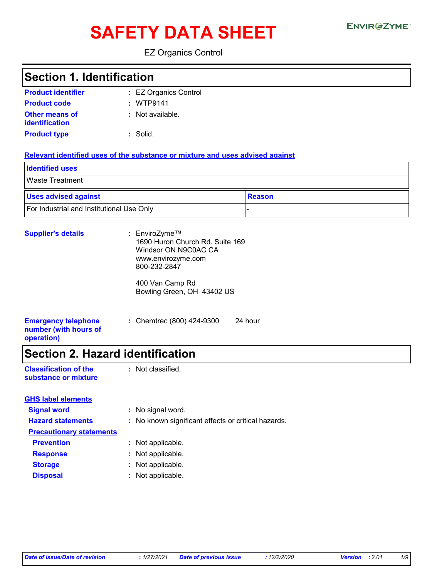# SAFETY DATA SHEET ENVIRGETMEN

EZ Organics Control

### **Section 1. Identification**

| <b>Product identifier</b> | : EZ Organics Control |
|---------------------------|-----------------------|
| <b>Product code</b>       | : WTP9141             |
| <b>Other means of</b>     | : Not available.      |
| identification            |                       |
| <b>Product type</b>       | : Solid.              |

#### **Relevant identified uses of the substance or mixture and uses advised against**

| <b>Identified uses</b>                    |               |
|-------------------------------------------|---------------|
| <b>Waste Treatment</b>                    |               |
| <b>Uses advised against</b>               | <b>Reason</b> |
| For Industrial and Institutional Use Only |               |

| <b>Supplier's details</b>                                         | : EnviroZyme™<br>1690 Huron Church Rd. Suite 169<br>Windsor ON N9C0AC CA<br>www.envirozyme.com<br>800-232-2847 |         |
|-------------------------------------------------------------------|----------------------------------------------------------------------------------------------------------------|---------|
|                                                                   | 400 Van Camp Rd<br>Bowling Green, OH 43402 US                                                                  |         |
| <b>Emergency telephone</b><br>number (with hours of<br>operation) | : Chemtrec (800) 424-9300                                                                                      | 24 hour |

# **Section 2. Hazard identification**

| <b>Classification of the</b> | : Not classified. |
|------------------------------|-------------------|
| substance or mixture         |                   |

| <b>GHS label elements</b>       |                                                     |
|---------------------------------|-----------------------------------------------------|
| <b>Signal word</b>              | : No signal word.                                   |
| <b>Hazard statements</b>        | : No known significant effects or critical hazards. |
| <b>Precautionary statements</b> |                                                     |
| <b>Prevention</b>               | : Not applicable.                                   |
| <b>Response</b>                 | : Not applicable.                                   |
| <b>Storage</b>                  | : Not applicable.                                   |
| <b>Disposal</b>                 | : Not applicable.                                   |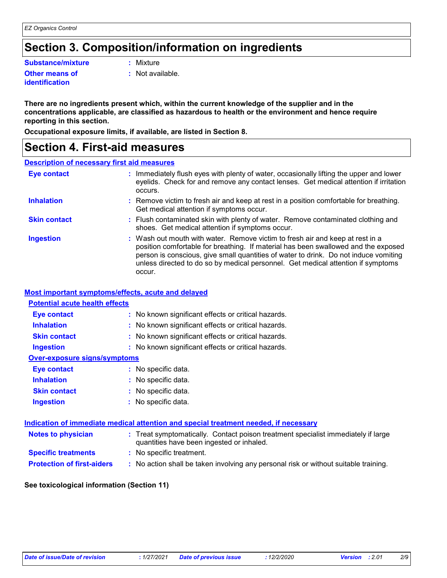# **Section 3. Composition/information on ingredients**

**Substance/mixture :**

**Other means of identification**

: Mixture

**:** Not available.

**There are no ingredients present which, within the current knowledge of the supplier and in the concentrations applicable, are classified as hazardous to health or the environment and hence require reporting in this section.**

**Occupational exposure limits, if available, are listed in Section 8.**

### **Section 4. First-aid measures**

#### **Description of necessary first aid measures**

| <b>Eye contact</b>  | : Immediately flush eyes with plenty of water, occasionally lifting the upper and lower<br>eyelids. Check for and remove any contact lenses. Get medical attention if irritation<br>occurs.                                                                                                                                                               |
|---------------------|-----------------------------------------------------------------------------------------------------------------------------------------------------------------------------------------------------------------------------------------------------------------------------------------------------------------------------------------------------------|
| <b>Inhalation</b>   | : Remove victim to fresh air and keep at rest in a position comfortable for breathing.<br>Get medical attention if symptoms occur.                                                                                                                                                                                                                        |
| <b>Skin contact</b> | : Flush contaminated skin with plenty of water. Remove contaminated clothing and<br>shoes. Get medical attention if symptoms occur.                                                                                                                                                                                                                       |
| <b>Ingestion</b>    | : Wash out mouth with water. Remove victim to fresh air and keep at rest in a<br>position comfortable for breathing. If material has been swallowed and the exposed<br>person is conscious, give small quantities of water to drink. Do not induce vomiting<br>unless directed to do so by medical personnel. Get medical attention if symptoms<br>occur. |

#### **Most important symptoms/effects, acute and delayed**

| <b>Potential acute health effects</b> |                                                                                                                                |
|---------------------------------------|--------------------------------------------------------------------------------------------------------------------------------|
| Eye contact                           | : No known significant effects or critical hazards.                                                                            |
| <b>Inhalation</b>                     | : No known significant effects or critical hazards.                                                                            |
| <b>Skin contact</b>                   | : No known significant effects or critical hazards.                                                                            |
| <b>Ingestion</b>                      | : No known significant effects or critical hazards.                                                                            |
| <b>Over-exposure signs/symptoms</b>   |                                                                                                                                |
| Eye contact                           | : No specific data.                                                                                                            |
| <b>Inhalation</b>                     | : No specific data.                                                                                                            |
| <b>Skin contact</b>                   | : No specific data.                                                                                                            |
| <b>Ingestion</b>                      | : No specific data.                                                                                                            |
|                                       | Indication of immediate medical attention and special treatment needed, if necessary                                           |
| <b>Notes to physician</b>             | : Treat symptomatically. Contact poison treatment specialist immediately if large<br>quantities have been ingested or inhaled. |
| <b>Specific treatments</b>            | : No specific treatment.                                                                                                       |
| <b>Protection of first-aiders</b>     | : No action shall be taken involving any personal risk or without suitable training.                                           |

#### **See toxicological information (Section 11)**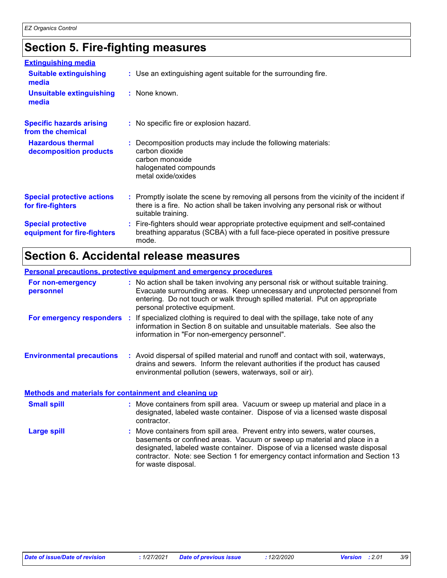# **Section 5. Fire-fighting measures**

| <b>Extinguishing media</b>                               |                                                                                                                                                                                                     |
|----------------------------------------------------------|-----------------------------------------------------------------------------------------------------------------------------------------------------------------------------------------------------|
| <b>Suitable extinguishing</b><br>media                   | : Use an extinguishing agent suitable for the surrounding fire.                                                                                                                                     |
| <b>Unsuitable extinguishing</b><br>media                 | : None known.                                                                                                                                                                                       |
| <b>Specific hazards arising</b><br>from the chemical     | : No specific fire or explosion hazard.                                                                                                                                                             |
| <b>Hazardous thermal</b><br>decomposition products       | : Decomposition products may include the following materials:<br>carbon dioxide<br>carbon monoxide<br>halogenated compounds<br>metal oxide/oxides                                                   |
| <b>Special protective actions</b><br>for fire-fighters   | : Promptly isolate the scene by removing all persons from the vicinity of the incident if<br>there is a fire. No action shall be taken involving any personal risk or without<br>suitable training. |
| <b>Special protective</b><br>equipment for fire-fighters | : Fire-fighters should wear appropriate protective equipment and self-contained<br>breathing apparatus (SCBA) with a full face-piece operated in positive pressure<br>mode.                         |

# **Section 6. Accidental release measures**

#### **Personal precautions, protective equipment and emergency procedures**

| For non-emergency<br>personnel                               | : No action shall be taken involving any personal risk or without suitable training.<br>Evacuate surrounding areas. Keep unnecessary and unprotected personnel from<br>entering. Do not touch or walk through spilled material. Put on appropriate<br>personal protective equipment. |
|--------------------------------------------------------------|--------------------------------------------------------------------------------------------------------------------------------------------------------------------------------------------------------------------------------------------------------------------------------------|
|                                                              | <b>For emergency responders</b> : If specialized clothing is required to deal with the spillage, take note of any<br>information in Section 8 on suitable and unsuitable materials. See also the<br>information in "For non-emergency personnel".                                    |
| <b>Environmental precautions</b>                             | : Avoid dispersal of spilled material and runoff and contact with soil, waterways,<br>drains and sewers. Inform the relevant authorities if the product has caused<br>environmental pollution (sewers, waterways, soil or air).                                                      |
| <u>Methods and materials for containment and cleaning up</u> |                                                                                                                                                                                                                                                                                      |
| <b>Small spill</b>                                           | : Move containers from spill area. Vacuum or sweep up material and place in a<br>designated, labeled waste container. Dispose of via a licensed waste disposal<br>contractor.                                                                                                        |

Move containers from spill area. Prevent entry into sewers, water courses, basements or confined areas. Vacuum or sweep up material and place in a designated, labeled waste container. Dispose of via a licensed waste disposal contractor. Note: see Section 1 for emergency contact information and Section 13 for waste disposal. **Large spill :**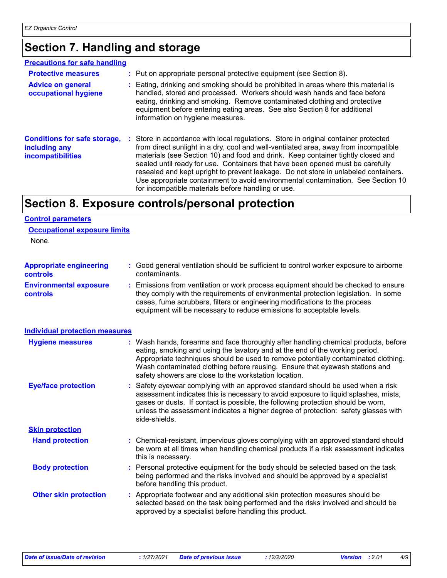# **Section 7. Handling and storage**

#### **Precautions for safe handling**

| <b>Protective measures</b><br><b>Advice on general</b><br>occupational hygiene   | : Put on appropriate personal protective equipment (see Section 8).<br>: Eating, drinking and smoking should be prohibited in areas where this material is<br>handled, stored and processed. Workers should wash hands and face before<br>eating, drinking and smoking. Remove contaminated clothing and protective<br>equipment before entering eating areas. See also Section 8 for additional<br>information on hygiene measures.                                                                                                                                               |
|----------------------------------------------------------------------------------|------------------------------------------------------------------------------------------------------------------------------------------------------------------------------------------------------------------------------------------------------------------------------------------------------------------------------------------------------------------------------------------------------------------------------------------------------------------------------------------------------------------------------------------------------------------------------------|
| <b>Conditions for safe storage,</b><br>including any<br><b>incompatibilities</b> | : Store in accordance with local regulations. Store in original container protected<br>from direct sunlight in a dry, cool and well-ventilated area, away from incompatible<br>materials (see Section 10) and food and drink. Keep container tightly closed and<br>sealed until ready for use. Containers that have been opened must be carefully<br>resealed and kept upright to prevent leakage. Do not store in unlabeled containers.<br>Use appropriate containment to avoid environmental contamination. See Section 10<br>for incompatible materials before handling or use. |

# **Section 8. Exposure controls/personal protection**

#### **Control parameters**

None.

| <b>Appropriate engineering</b>                   | : Good general ventilation should be sufficient to control worker exposure to airborne                                                                                                                                                                 |
|--------------------------------------------------|--------------------------------------------------------------------------------------------------------------------------------------------------------------------------------------------------------------------------------------------------------|
| <b>controls</b>                                  | contaminants.                                                                                                                                                                                                                                          |
| <b>Environmental exposure</b><br><b>controls</b> | : Emissions from ventilation or work process equipment should be checked to ensure<br>they comply with the requirements of environmental protection legislation. In some<br>cases, fume scrubbers, filters or engineering modifications to the process |

equipment will be necessary to reduce emissions to acceptable levels.

| <b>Individual protection measures</b> |                                                                                                                                                                                                                                                                                                                                                                                                   |  |
|---------------------------------------|---------------------------------------------------------------------------------------------------------------------------------------------------------------------------------------------------------------------------------------------------------------------------------------------------------------------------------------------------------------------------------------------------|--|
| <b>Hygiene measures</b>               | : Wash hands, forearms and face thoroughly after handling chemical products, before<br>eating, smoking and using the lavatory and at the end of the working period.<br>Appropriate techniques should be used to remove potentially contaminated clothing.<br>Wash contaminated clothing before reusing. Ensure that eyewash stations and<br>safety showers are close to the workstation location. |  |
| <b>Eye/face protection</b>            | : Safety eyewear complying with an approved standard should be used when a risk<br>assessment indicates this is necessary to avoid exposure to liquid splashes, mists,<br>gases or dusts. If contact is possible, the following protection should be worn,<br>unless the assessment indicates a higher degree of protection: safety glasses with<br>side-shields.                                 |  |
| <b>Skin protection</b>                |                                                                                                                                                                                                                                                                                                                                                                                                   |  |
| <b>Hand protection</b>                | : Chemical-resistant, impervious gloves complying with an approved standard should<br>be worn at all times when handling chemical products if a risk assessment indicates<br>this is necessary.                                                                                                                                                                                                   |  |
| <b>Body protection</b>                | : Personal protective equipment for the body should be selected based on the task<br>being performed and the risks involved and should be approved by a specialist<br>before handling this product.                                                                                                                                                                                               |  |
| <b>Other skin protection</b>          | : Appropriate footwear and any additional skin protection measures should be<br>selected based on the task being performed and the risks involved and should be<br>approved by a specialist before handling this product.                                                                                                                                                                         |  |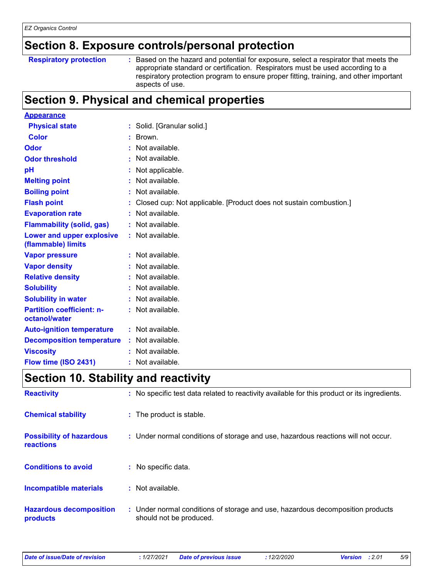# **Section 8. Exposure controls/personal protection**

|  | <b>Respiratory protection</b> |
|--|-------------------------------|
|--|-------------------------------|

**Respiratory protection :** Based on the hazard and potential for exposure, select a respirator that meets the appropriate standard or certification. Respirators must be used according to a respiratory protection program to ensure proper fitting, training, and other important aspects of use.

# **Section 9. Physical and chemical properties**

| <b>Appearance</b>                                 |                                                                    |
|---------------------------------------------------|--------------------------------------------------------------------|
| <b>Physical state</b>                             | : Solid. [Granular solid.]                                         |
| <b>Color</b>                                      | Brown.<br>÷.                                                       |
| Odor                                              | Not available.                                                     |
| <b>Odor threshold</b>                             | Not available.                                                     |
| pH                                                | Not applicable.                                                    |
| <b>Melting point</b>                              | Not available.                                                     |
| <b>Boiling point</b>                              | Not available.                                                     |
| <b>Flash point</b>                                | Closed cup: Not applicable. [Product does not sustain combustion.] |
| <b>Evaporation rate</b>                           | Not available.                                                     |
| <b>Flammability (solid, gas)</b>                  | Not available.                                                     |
| Lower and upper explosive<br>(flammable) limits   | : Not available.                                                   |
| <b>Vapor pressure</b>                             | : Not available.                                                   |
| <b>Vapor density</b>                              | Not available.                                                     |
| <b>Relative density</b>                           | Not available.                                                     |
| <b>Solubility</b>                                 | Not available.                                                     |
| <b>Solubility in water</b>                        | Not available.                                                     |
| <b>Partition coefficient: n-</b><br>octanol/water | : Not available.                                                   |
| <b>Auto-ignition temperature</b>                  | : Not available.                                                   |
| <b>Decomposition temperature</b>                  | Not available.                                                     |
| <b>Viscosity</b>                                  | Not available.                                                     |
| Flow time (ISO 2431)                              | Not available.                                                     |

# **Section 10. Stability and reactivity**

| <b>Reactivity</b>                            | : No specific test data related to reactivity available for this product or its ingredients.              |
|----------------------------------------------|-----------------------------------------------------------------------------------------------------------|
| <b>Chemical stability</b>                    | : The product is stable.                                                                                  |
| <b>Possibility of hazardous</b><br>reactions | : Under normal conditions of storage and use, hazardous reactions will not occur.                         |
| <b>Conditions to avoid</b>                   | : No specific data.                                                                                       |
| <b>Incompatible materials</b>                | : Not available.                                                                                          |
| <b>Hazardous decomposition</b><br>products   | : Under normal conditions of storage and use, hazardous decomposition products<br>should not be produced. |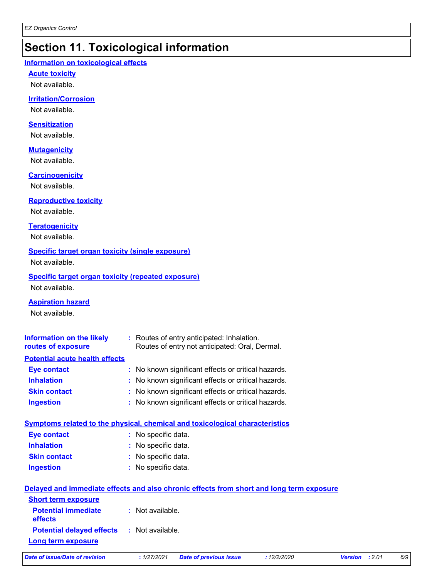# **Section 11. Toxicological information**

#### **Information on toxicological effects**

**Acute toxicity**

Not available.

#### **Irritation/Corrosion**

Not available.

#### **Sensitization**

Not available.

#### **Mutagenicity**

Not available.

#### **Carcinogenicity**

Not available.

#### **Reproductive toxicity**

Not available.

#### **Teratogenicity**

Not available.

#### **Specific target organ toxicity (single exposure)**

Not available.

#### **Specific target organ toxicity (repeated exposure)** Not available.

**Aspiration hazard**

Not available.

| Information on the likely<br>routes of exposure | : Routes of entry anticipated: Inhalation.<br>Routes of entry not anticipated: Oral, Dermal. |
|-------------------------------------------------|----------------------------------------------------------------------------------------------|
| <b>Potential acute health effects</b>           |                                                                                              |
| <b>Eye contact</b>                              | : No known significant effects or critical hazards.                                          |
| <b>Inhalation</b>                               | : No known significant effects or critical hazards.                                          |
| <b>Skin contact</b>                             | : No known significant effects or critical hazards.                                          |
| <b>Ingestion</b>                                | : No known significant effects or critical hazards.                                          |

|                     | Symptoms related to the physical, chemical and toxicological characteristics |
|---------------------|------------------------------------------------------------------------------|
| <b>Eye contact</b>  | : No specific data.                                                          |
| <b>Inhalation</b>   | : No specific data.                                                          |
| <b>Skin contact</b> | : No specific data.                                                          |
| <b>Ingestion</b>    | : No specific data.                                                          |
|                     |                                                                              |

|                                                   | Delayed and immediate effects and also chronic effects from short and long term exposure |
|---------------------------------------------------|------------------------------------------------------------------------------------------|
| <b>Short term exposure</b>                        |                                                                                          |
| <b>Potential immediate</b><br><b>effects</b>      | : Not available.                                                                         |
| <b>Potential delayed effects : Not available.</b> |                                                                                          |
| <b>Long term exposure</b>                         |                                                                                          |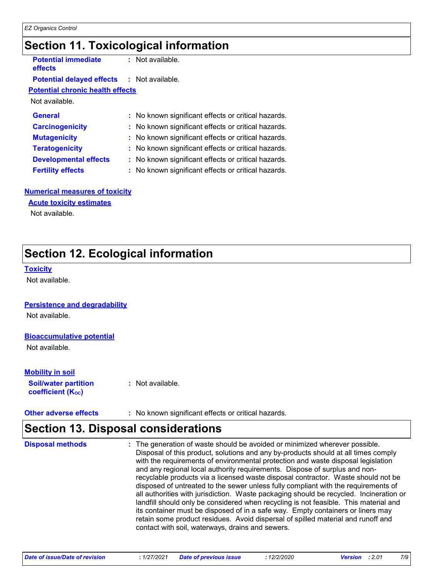# **Section 11. Toxicological information**

**Potential immediate effects**

**:** Not available.

#### **Potential delayed effects :** Not available.

#### **Potential chronic health effects**

Not available.

| <b>General</b>               | : No known significant effects or critical hazards. |
|------------------------------|-----------------------------------------------------|
| <b>Carcinogenicity</b>       | : No known significant effects or critical hazards. |
| <b>Mutagenicity</b>          | : No known significant effects or critical hazards. |
| <b>Teratogenicity</b>        | : No known significant effects or critical hazards. |
| <b>Developmental effects</b> | : No known significant effects or critical hazards. |
| <b>Fertility effects</b>     | : No known significant effects or critical hazards. |

#### **Numerical measures of toxicity**

#### **Acute toxicity estimates**

Not available.

# **Section 12. Ecological information**

#### **Toxicity**

Not available.

#### **Persistence and degradability**

Not available.

#### **Bioaccumulative potential**

Not available.

#### **Mobility in soil**

**Soil/water partition coefficient (KOC) :** Not available.

#### **Other adverse effects** : No known significant effects or critical hazards.

### **Section 13. Disposal considerations**

| disposed of untreated to the sewer unless fully compliant with the requirements of<br>all authorities with jurisdiction. Waste packaging should be recycled. Incineration or<br>landfill should only be considered when recycling is not feasible. This material and<br>its container must be disposed of in a safe way. Empty containers or liners may<br>retain some product residues. Avoid dispersal of spilled material and runoff and<br>contact with soil, waterways, drains and sewers. | <b>Disposal methods</b> | : The generation of waste should be avoided or minimized wherever possible.<br>Disposal of this product, solutions and any by-products should at all times comply<br>with the requirements of environmental protection and waste disposal legislation<br>and any regional local authority requirements. Dispose of surplus and non-<br>recyclable products via a licensed waste disposal contractor. Waste should not be |
|-------------------------------------------------------------------------------------------------------------------------------------------------------------------------------------------------------------------------------------------------------------------------------------------------------------------------------------------------------------------------------------------------------------------------------------------------------------------------------------------------|-------------------------|--------------------------------------------------------------------------------------------------------------------------------------------------------------------------------------------------------------------------------------------------------------------------------------------------------------------------------------------------------------------------------------------------------------------------|
|-------------------------------------------------------------------------------------------------------------------------------------------------------------------------------------------------------------------------------------------------------------------------------------------------------------------------------------------------------------------------------------------------------------------------------------------------------------------------------------------------|-------------------------|--------------------------------------------------------------------------------------------------------------------------------------------------------------------------------------------------------------------------------------------------------------------------------------------------------------------------------------------------------------------------------------------------------------------------|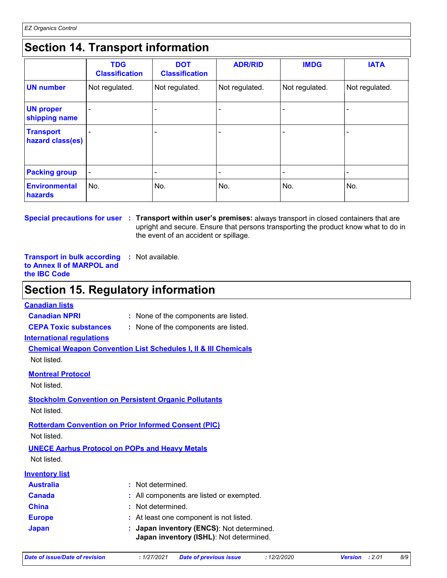# **Section 14. Transport information**

|                                      | <b>TDG</b><br><b>Classification</b> | <b>DOT</b><br><b>Classification</b> | <b>ADR/RID</b> | <b>IMDG</b>    | <b>IATA</b>    |
|--------------------------------------|-------------------------------------|-------------------------------------|----------------|----------------|----------------|
| <b>UN number</b>                     | Not regulated.                      | Not regulated.                      | Not regulated. | Not regulated. | Not regulated. |
| <b>UN proper</b><br>shipping name    |                                     |                                     |                |                |                |
| <b>Transport</b><br>hazard class(es) |                                     |                                     |                | ٠              |                |
| <b>Packing group</b>                 | $\blacksquare$                      |                                     |                | $\blacksquare$ |                |
| <b>Environmental</b><br>hazards      | No.                                 | No.                                 | No.            | No.            | No.            |

**Special precautions for user Transport within user's premises:** always transport in closed containers that are **:** upright and secure. Ensure that persons transporting the product know what to do in the event of an accident or spillage.

**Transport in bulk according :** Not available. **to Annex II of MARPOL and the IBC Code**

### **Section 15. Regulatory information**

#### **Canadian lists**

- **Canadian NPRI :** None of the components are listed.
- **CEPA Toxic substances :** None of the components are listed.
	-

**International regulations**

**Chemical Weapon Convention List Schedules I, II & III Chemicals** Not listed.

**Montreal Protocol**

Not listed.

#### **Stockholm Convention on Persistent Organic Pollutants** Not listed.

**Rotterdam Convention on Prior Informed Consent (PIC)**

Not listed.

**UNECE Aarhus Protocol on POPs and Heavy Metals** Not listed.

| <b>Inventory list</b> |
|-----------------------|
|-----------------------|

| <b>Australia</b> | : Not determined.                                                                    |
|------------------|--------------------------------------------------------------------------------------|
| <b>Canada</b>    | : All components are listed or exempted.                                             |
| <b>China</b>     | : Not determined.                                                                    |
| <b>Europe</b>    | : At least one component is not listed.                                              |
| <b>Japan</b>     | : Japan inventory (ENCS): Not determined.<br>Japan inventory (ISHL): Not determined. |